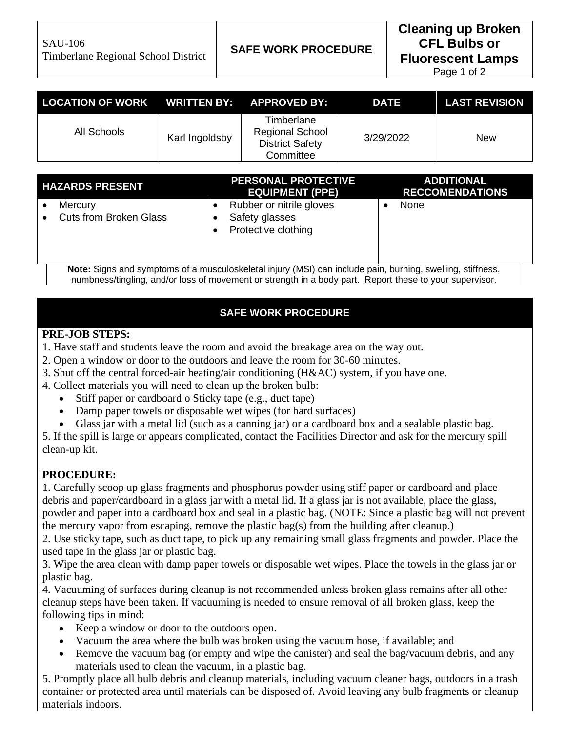Page 1 of 2

| LOCATION OF WORK WRITTEN BY: APPROVED BY: |                |                                                                             | <b>DATE</b> | <b>LAST REVISION</b> |
|-------------------------------------------|----------------|-----------------------------------------------------------------------------|-------------|----------------------|
| All Schools                               | Karl Ingoldsby | Timberlane<br><b>Regional School</b><br><b>District Safety</b><br>Committee | 3/29/2022   | New                  |

| <b>HAZARDS PRESENT</b>                   | <b>PERSONAL PROTECTIVE</b><br><b>EQUIPMENT (PPE)</b>              | <b>ADDITIONAL</b><br><b>RECCOMENDATIONS</b> |
|------------------------------------------|-------------------------------------------------------------------|---------------------------------------------|
| Mercury<br><b>Cuts from Broken Glass</b> | Rubber or nitrile gloves<br>Safety glasses<br>Protective clothing | None                                        |

**Note:** Signs and symptoms of a musculoskeletal injury (MSI) can include pain, burning, swelling, stiffness, numbness/tingling, and/or loss of movement or strength in a body part. Report these to your supervisor.

## **SAFE WORK PROCEDURE**

## **PRE-JOB STEPS:**

- 1. Have staff and students leave the room and avoid the breakage area on the way out.
- 2. Open a window or door to the outdoors and leave the room for 30-60 minutes.
- 3. Shut off the central forced-air heating/air conditioning (H&AC) system, if you have one.
- 4. Collect materials you will need to clean up the broken bulb:
	- Stiff paper or cardboard o Sticky tape (e.g., duct tape)
	- Damp paper towels or disposable wet wipes (for hard surfaces)
	- Glass jar with a metal lid (such as a canning jar) or a cardboard box and a sealable plastic bag.

5. If the spill is large or appears complicated, contact the Facilities Director and ask for the mercury spill clean-up kit.

## **PROCEDURE:**

1. Carefully scoop up glass fragments and phosphorus powder using stiff paper or cardboard and place debris and paper/cardboard in a glass jar with a metal lid. If a glass jar is not available, place the glass, powder and paper into a cardboard box and seal in a plastic bag. (NOTE: Since a plastic bag will not prevent the mercury vapor from escaping, remove the plastic bag(s) from the building after cleanup.)

2. Use sticky tape, such as duct tape, to pick up any remaining small glass fragments and powder. Place the used tape in the glass jar or plastic bag.

3. Wipe the area clean with damp paper towels or disposable wet wipes. Place the towels in the glass jar or plastic bag.

4. Vacuuming of surfaces during cleanup is not recommended unless broken glass remains after all other cleanup steps have been taken. If vacuuming is needed to ensure removal of all broken glass, keep the following tips in mind:

- Keep a window or door to the outdoors open.
- Vacuum the area where the bulb was broken using the vacuum hose, if available; and
- Remove the vacuum bag (or empty and wipe the canister) and seal the bag/vacuum debris, and any materials used to clean the vacuum, in a plastic bag.

5. Promptly place all bulb debris and cleanup materials, including vacuum cleaner bags, outdoors in a trash container or protected area until materials can be disposed of. Avoid leaving any bulb fragments or cleanup materials indoors.